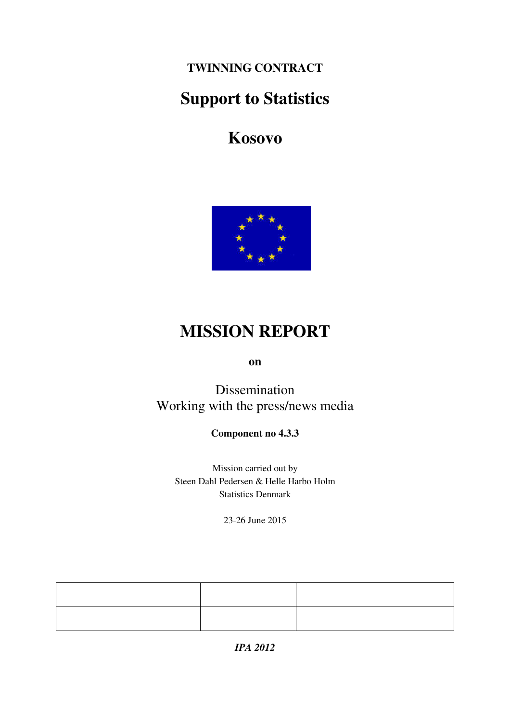**TWINNING CONTRACT** 

# **Support to Statistics**

# **Kosovo**



# **MISSION REPORT**

**on** 

Dissemination Working with the press/news media

**Component no 4.3.3** 

Mission carried out by Steen Dahl Pedersen & Helle Harbo Holm Statistics Denmark

23-26 June 2015

*IPA 2012*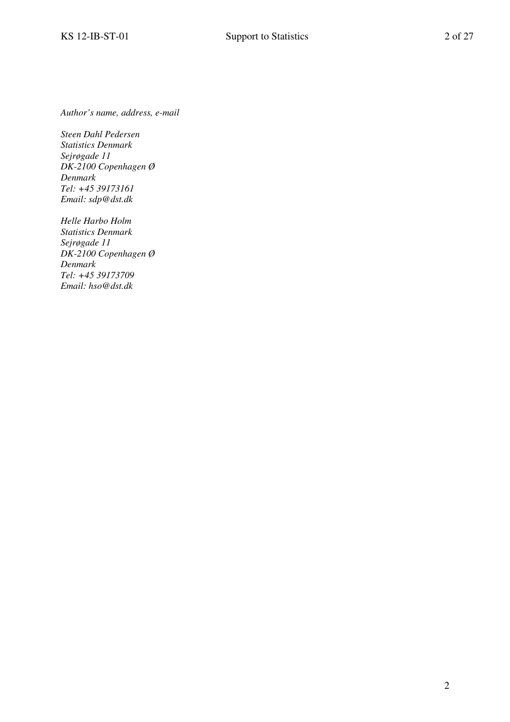*Author's name, address, e-mail* 

*Steen Dahl Pedersen Statistics Denmark Sejrøgade 11 DK-2100 Copenhagen Ø Denmark Tel: +45 39173161 Email: sdp@dst.dk* 

*Helle Harbo Holm Statistics Denmark Sejrøgade 11 DK-2100 Copenhagen Ø Denmark Tel: +45 39173709 Email: hso@dst.dk*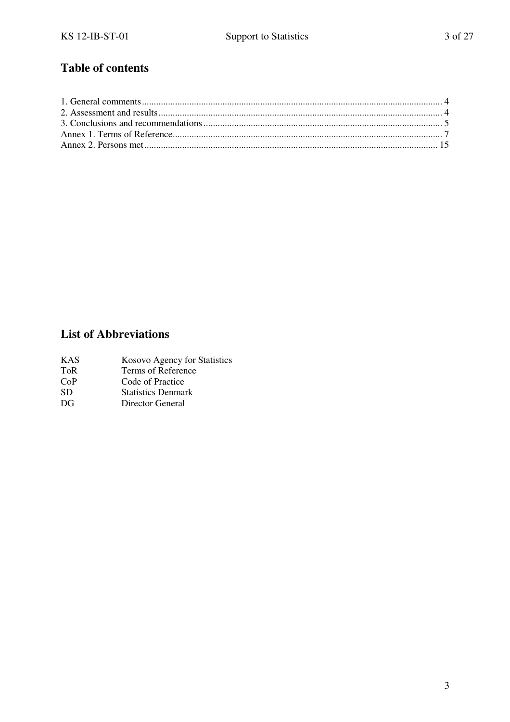## **Table of contents**

## **List of Abbreviations**

- KAS Kosovo Agency for Statistics<br>ToR Terms of Reference
- ToR Terms of Reference<br>CoP Code of Practice
- CoP Code of Practice<br>SD Statistics Denma
- SD Statistics Denmark<br>DG Director General
- Director General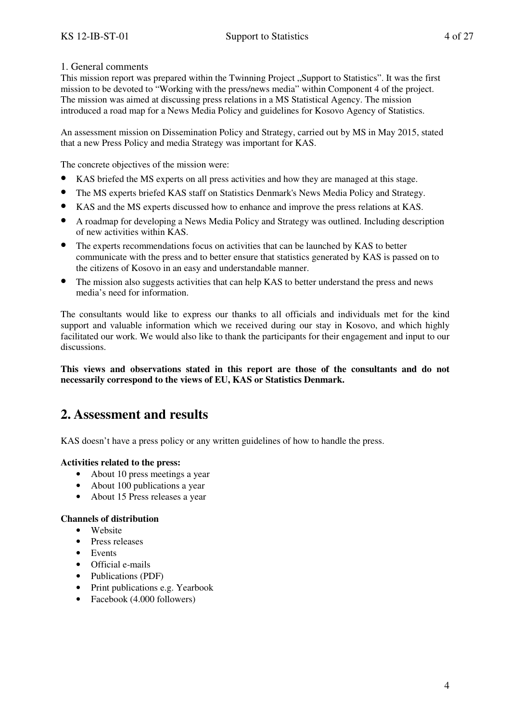#### 1. General comments

This mission report was prepared within the Twinning Project "Support to Statistics". It was the first mission to be devoted to "Working with the press/news media" within Component 4 of the project. The mission was aimed at discussing press relations in a MS Statistical Agency. The mission introduced a road map for a News Media Policy and guidelines for Kosovo Agency of Statistics.

An assessment mission on Dissemination Policy and Strategy, carried out by MS in May 2015, stated that a new Press Policy and media Strategy was important for KAS.

The concrete objectives of the mission were:

- KAS briefed the MS experts on all press activities and how they are managed at this stage.
- The MS experts briefed KAS staff on Statistics Denmark's News Media Policy and Strategy.
- KAS and the MS experts discussed how to enhance and improve the press relations at KAS.
- A roadmap for developing a News Media Policy and Strategy was outlined. Including description of new activities within KAS.
- The experts recommendations focus on activities that can be launched by KAS to better communicate with the press and to better ensure that statistics generated by KAS is passed on to the citizens of Kosovo in an easy and understandable manner.
- The mission also suggests activities that can help KAS to better understand the press and news media's need for information.

The consultants would like to express our thanks to all officials and individuals met for the kind support and valuable information which we received during our stay in Kosovo, and which highly facilitated our work. We would also like to thank the participants for their engagement and input to our discussions.

**This views and observations stated in this report are those of the consultants and do not necessarily correspond to the views of EU, KAS or Statistics Denmark.** 

## **2. Assessment and results**

KAS doesn't have a press policy or any written guidelines of how to handle the press.

#### **Activities related to the press:**

- About 10 press meetings a year
- About 100 publications a year
- About 15 Press releases a year

#### **Channels of distribution**

- Website
- Press releases
- Events
- Official e-mails
- Publications (PDF)
- Print publications e.g. Yearbook
- Facebook (4.000 followers)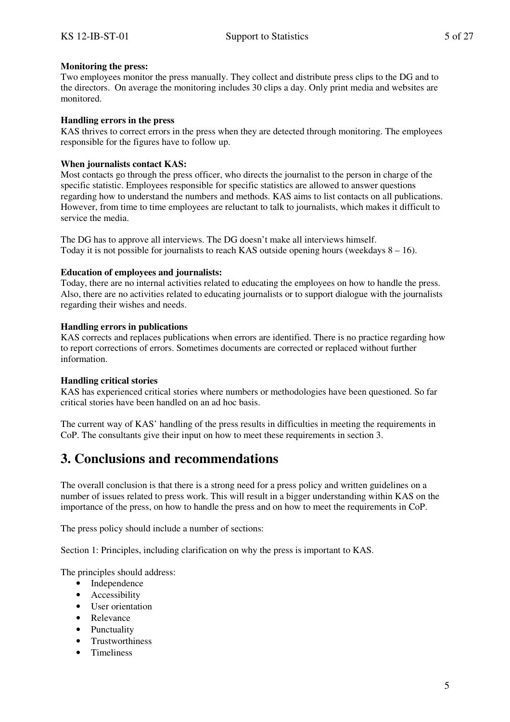#### **Monitoring the press:**

Two employees monitor the press manually. They collect and distribute press clips to the DG and to the directors. On average the monitoring includes 30 clips a day. Only print media and websites are monitored.

#### **Handling errors in the press**

KAS thrives to correct errors in the press when they are detected through monitoring. The employees responsible for the figures have to follow up.

#### **When journalists contact KAS:**

Most contacts go through the press officer, who directs the journalist to the person in charge of the specific statistic. Employees responsible for specific statistics are allowed to answer questions regarding how to understand the numbers and methods. KAS aims to list contacts on all publications. However, from time to time employees are reluctant to talk to journalists, which makes it difficult to service the media.

The DG has to approve all interviews. The DG doesn't make all interviews himself. Today it is not possible for journalists to reach KAS outside opening hours (weekdays  $8 - 16$ ).

#### **Education of employees and journalists:**

Today, there are no internal activities related to educating the employees on how to handle the press. Also, there are no activities related to educating journalists or to support dialogue with the journalists regarding their wishes and needs.

#### **Handling errors in publications**

KAS corrects and replaces publications when errors are identified. There is no practice regarding how to report corrections of errors. Sometimes documents are corrected or replaced without further information.

#### **Handling critical stories**

KAS has experienced critical stories where numbers or methodologies have been questioned. So far critical stories have been handled on an ad hoc basis.

The current way of KAS' handling of the press results in difficulties in meeting the requirements in CoP. The consultants give their input on how to meet these requirements in section 3.

## **3. Conclusions and recommendations**

The overall conclusion is that there is a strong need for a press policy and written guidelines on a number of issues related to press work. This will result in a bigger understanding within KAS on the importance of the press, on how to handle the press and on how to meet the requirements in CoP.

The press policy should include a number of sections:

Section 1: Principles, including clarification on why the press is important to KAS.

The principles should address:

- Independence
- Accessibility
- User orientation
- Relevance
- Punctuality
- Trustworthiness
- Timeliness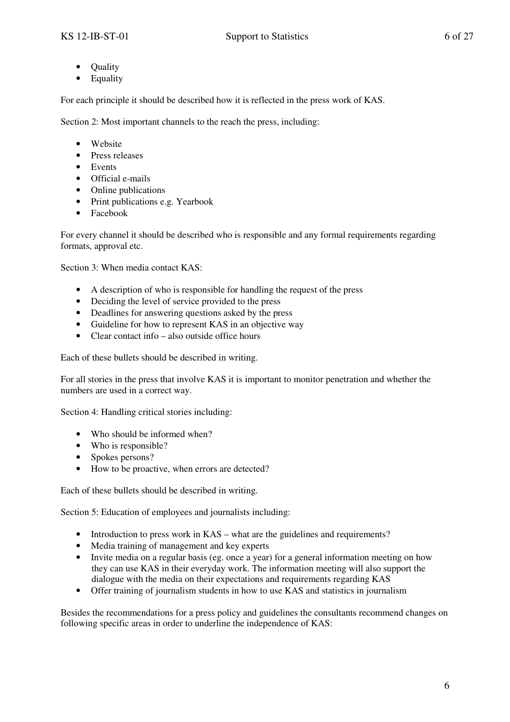- Quality
- Equality

For each principle it should be described how it is reflected in the press work of KAS.

Section 2: Most important channels to the reach the press, including:

- Website
- Press releases
- Events
- Official e-mails
- Online publications
- Print publications e.g. Yearbook
- Facebook

For every channel it should be described who is responsible and any formal requirements regarding formats, approval etc.

Section 3: When media contact KAS:

- A description of who is responsible for handling the request of the press
- Deciding the level of service provided to the press
- Deadlines for answering questions asked by the press
- Guideline for how to represent KAS in an objective way
- Clear contact info also outside office hours

Each of these bullets should be described in writing.

For all stories in the press that involve KAS it is important to monitor penetration and whether the numbers are used in a correct way.

Section 4: Handling critical stories including:

- Who should be informed when?
- Who is responsible?
- Spokes persons?
- How to be proactive, when errors are detected?

Each of these bullets should be described in writing.

Section 5: Education of employees and journalists including:

- Introduction to press work in KAS what are the guidelines and requirements?
- Media training of management and key experts
- Invite media on a regular basis (eg. once a year) for a general information meeting on how they can use KAS in their everyday work. The information meeting will also support the dialogue with the media on their expectations and requirements regarding KAS
- Offer training of journalism students in how to use KAS and statistics in journalism

Besides the recommendations for a press policy and guidelines the consultants recommend changes on following specific areas in order to underline the independence of KAS: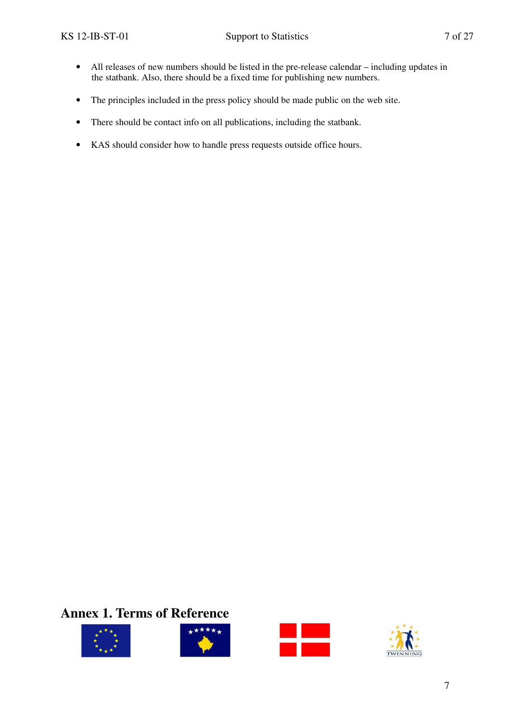- All releases of new numbers should be listed in the pre-release calendar including updates in the statbank. Also, there should be a fixed time for publishing new numbers.
- The principles included in the press policy should be made public on the web site.
- There should be contact info on all publications, including the statbank.
- KAS should consider how to handle press requests outside office hours.

## **Annex 1. Terms of Reference**







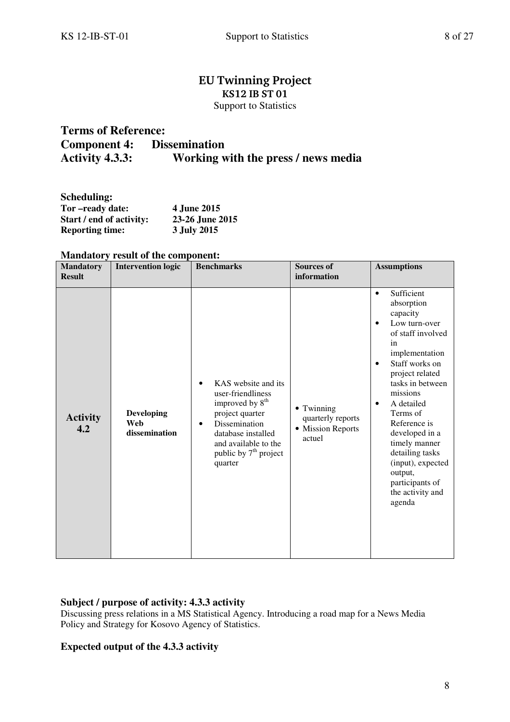### **EU Twinning Project KS12 IB ST 01**  Support to Statistics

## **Terms of Reference: Component 4:** Dissemination<br>Activity 4.3.3: Working v **Working with the press / news media**

| Scheduling:              |                    |
|--------------------------|--------------------|
| Tor-ready date:          | <b>4 June 2015</b> |
| Start / end of activity: | 23-26 June 2015    |
| <b>Reporting time:</b>   | 3 July 2015        |

| <b>Mandatory</b><br><b>Result</b> | <b>Intervention logic</b>                 | <b>Benchmarks</b>                                                                                                                                                                                            | <b>Sources of</b><br>information                               | <b>Assumptions</b>                                                                                                                                                                                                                                                                                                                                                                                           |
|-----------------------------------|-------------------------------------------|--------------------------------------------------------------------------------------------------------------------------------------------------------------------------------------------------------------|----------------------------------------------------------------|--------------------------------------------------------------------------------------------------------------------------------------------------------------------------------------------------------------------------------------------------------------------------------------------------------------------------------------------------------------------------------------------------------------|
| <b>Activity</b><br>4.2            | <b>Developing</b><br>Web<br>dissemination | KAS website and its<br>user-friendliness<br>improved by 8 <sup>th</sup><br>project quarter<br>Dissemination<br>$\bullet$<br>database installed<br>and available to the<br>public by $7th$ project<br>quarter | • Twinning<br>quarterly reports<br>• Mission Reports<br>actuel | Sufficient<br>$\bullet$<br>absorption<br>capacity<br>Low turn-over<br>$\bullet$<br>of staff involved<br>in<br>implementation<br>Staff works on<br>$\bullet$<br>project related<br>tasks in between<br>missions<br>A detailed<br>$\bullet$<br>Terms of<br>Reference is<br>developed in a<br>timely manner<br>detailing tasks<br>(input), expected<br>output,<br>participants of<br>the activity and<br>agenda |

#### **Mandatory result of the component:**

#### **Subject / purpose of activity: 4.3.3 activity**

Discussing press relations in a MS Statistical Agency. Introducing a road map for a News Media Policy and Strategy for Kosovo Agency of Statistics.

### **Expected output of the 4.3.3 activity**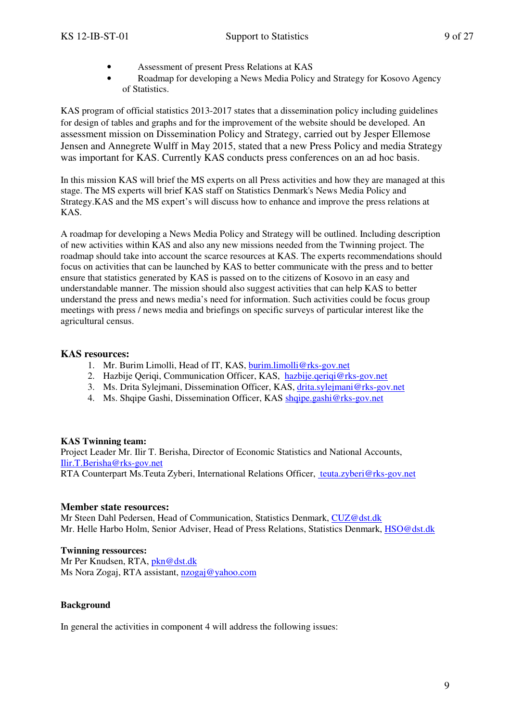- Assessment of present Press Relations at KAS
- Roadmap for developing a News Media Policy and Strategy for Kosovo Agency of Statistics.

KAS program of official statistics 2013-2017 states that a dissemination policy including guidelines for design of tables and graphs and for the improvement of the website should be developed. An assessment mission on Dissemination Policy and Strategy, carried out by Jesper Ellemose Jensen and Annegrete Wulff in May 2015, stated that a new Press Policy and media Strategy was important for KAS. Currently KAS conducts press conferences on an ad hoc basis.

In this mission KAS will brief the MS experts on all Press activities and how they are managed at this stage. The MS experts will brief KAS staff on Statistics Denmark's News Media Policy and Strategy.KAS and the MS expert's will discuss how to enhance and improve the press relations at KAS.

A roadmap for developing a News Media Policy and Strategy will be outlined. Including description of new activities within KAS and also any new missions needed from the Twinning project. The roadmap should take into account the scarce resources at KAS. The experts recommendations should focus on activities that can be launched by KAS to better communicate with the press and to better ensure that statistics generated by KAS is passed on to the citizens of Kosovo in an easy and understandable manner. The mission should also suggest activities that can help KAS to better understand the press and news media's need for information. Such activities could be focus group meetings with press / news media and briefings on specific surveys of particular interest like the agricultural census.

#### **KAS resources:**

- 1. Mr. Burim Limolli, Head of IT, KAS, burim.limolli@rks-gov.net
- 2. Hazbije Qeriqi, Communication Officer, KAS, hazbije.qeriqi@rks-gov.net
- 3. Ms. Drita Sylejmani, Dissemination Officer, KAS, drita.sylejmani@rks-gov.net
- 4. Ms. Shqipe Gashi, Dissemination Officer, KAS shqipe.gashi@rks-gov.net

#### **KAS Twinning team:**

Project Leader Mr. Ilir T. Berisha, Director of Economic Statistics and National Accounts, Ilir.T.Berisha@rks-gov.net

RTA Counterpart Ms.Teuta Zyberi, International Relations Officer, teuta.zyberi@rks-gov.net

#### **Member state resources:**

Mr Steen Dahl Pedersen, Head of Communication, Statistics Denmark, CUZ@dst.dk Mr. Helle Harbo Holm, Senior Adviser, Head of Press Relations, Statistics Denmark, HSO@dst.dk

#### **Twinning ressources:**

Mr Per Knudsen, RTA, pkn@dst.dk Ms Nora Zogaj, RTA assistant, nzogaj@yahoo.com

#### **Background**

In general the activities in component 4 will address the following issues: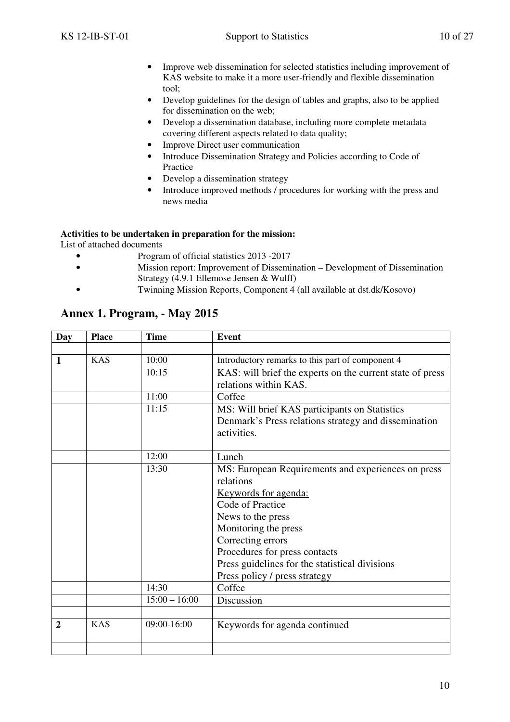- Improve web dissemination for selected statistics including improvement of KAS website to make it a more user-friendly and flexible dissemination tool;
- Develop guidelines for the design of tables and graphs, also to be applied for dissemination on the web;
- Develop a dissemination database, including more complete metadata covering different aspects related to data quality;
- Improve Direct user communication
- Introduce Dissemination Strategy and Policies according to Code of Practice
- Develop a dissemination strategy
- Introduce improved methods / procedures for working with the press and news media

#### **Activities to be undertaken in preparation for the mission:**

List of attached documents

- Program of official statistics 2013 -2017
- Mission report: Improvement of Dissemination Development of Dissemination Strategy (4.9.1 Ellemose Jensen & Wulff)
	- Twinning Mission Reports, Component 4 (all available at dst.dk/Kosovo)

### **Annex 1. Program, - May 2015**

| Day          | <b>Place</b> | <b>Time</b>     | <b>Event</b>                                              |
|--------------|--------------|-----------------|-----------------------------------------------------------|
|              |              |                 |                                                           |
| 1            | <b>KAS</b>   | 10:00           | Introductory remarks to this part of component 4          |
|              |              | 10:15           | KAS: will brief the experts on the current state of press |
|              |              |                 | relations within KAS.                                     |
|              |              | 11:00           | Coffee                                                    |
|              |              | 11:15           | MS: Will brief KAS participants on Statistics             |
|              |              |                 | Denmark's Press relations strategy and dissemination      |
|              |              |                 | activities.                                               |
|              |              |                 |                                                           |
|              |              | 12:00           | Lunch                                                     |
|              |              | 13:30           | MS: European Requirements and experiences on press        |
|              |              |                 | relations                                                 |
|              |              |                 | <u>Keywords for agenda:</u>                               |
|              |              |                 | Code of Practice                                          |
|              |              |                 | News to the press                                         |
|              |              |                 | Monitoring the press                                      |
|              |              |                 | Correcting errors                                         |
|              |              |                 | Procedures for press contacts                             |
|              |              |                 | Press guidelines for the statistical divisions            |
|              |              |                 | Press policy / press strategy                             |
|              |              | 14:30           | Coffee                                                    |
|              |              | $15:00 - 16:00$ | Discussion                                                |
|              |              |                 |                                                           |
| $\mathbf{2}$ | <b>KAS</b>   | 09:00-16:00     | Keywords for agenda continued                             |
|              |              |                 |                                                           |
|              |              |                 |                                                           |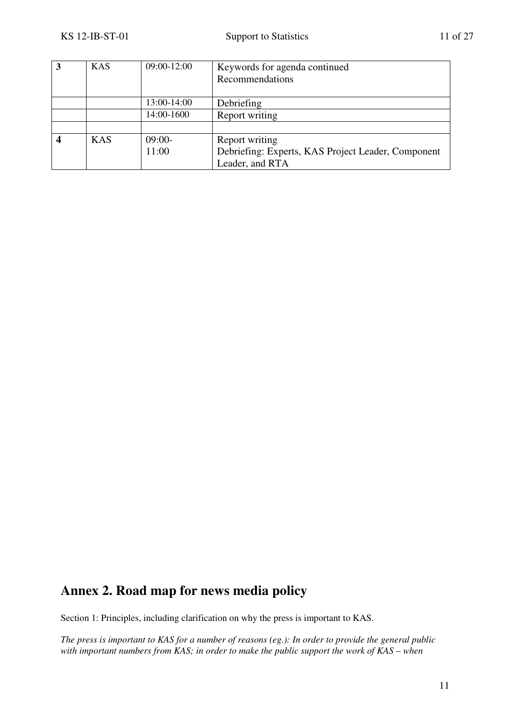| 3 | <b>KAS</b> | 09:00-12:00 | Keywords for agenda continued<br>Recommendations   |
|---|------------|-------------|----------------------------------------------------|
|   |            | 13:00-14:00 | Debriefing                                         |
|   |            | 14:00-1600  | Report writing                                     |
|   |            |             |                                                    |
|   | <b>KAS</b> | $09:00-$    | Report writing                                     |
|   |            | 11:00       | Debriefing: Experts, KAS Project Leader, Component |
|   |            |             | Leader, and RTA                                    |

## **Annex 2. Road map for news media policy**

Section 1: Principles, including clarification on why the press is important to KAS.

*The press is important to KAS for a number of reasons (eg.): In order to provide the general public with important numbers from KAS; in order to make the public support the work of KAS – when*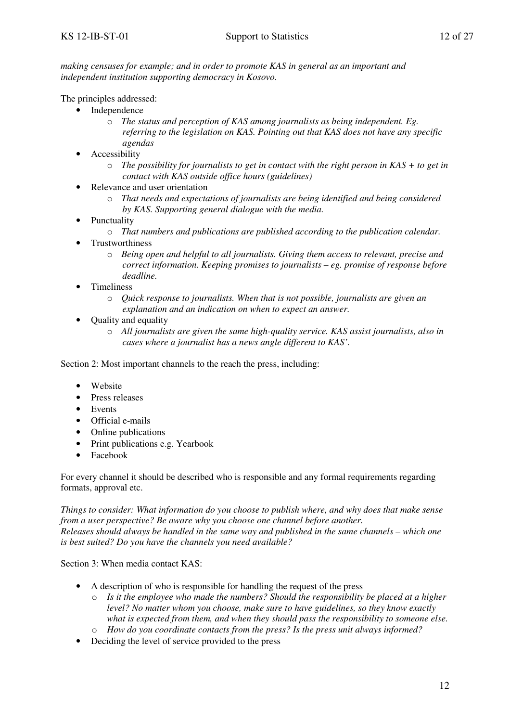*making censuses for example; and in order to promote KAS in general as an important and independent institution supporting democracy in Kosovo.* 

The principles addressed:

- Independence
	- o *The status and perception of KAS among journalists as being independent. Eg. referring to the legislation on KAS. Pointing out that KAS does not have any specific agendas*
- **Accessibility** 
	- o *The possibility for journalists to get in contact with the right person in KAS + to get in contact with KAS outside office hours (guidelines)*
- Relevance and user orientation
	- o *That needs and expectations of journalists are being identified and being considered by KAS. Supporting general dialogue with the media.*
- Punctuality
	- o *That numbers and publications are published according to the publication calendar.*
- Trustworthiness
	- o *Being open and helpful to all journalists. Giving them access to relevant, precise and correct information. Keeping promises to journalists – eg. promise of response before deadline.*
- Timeliness
	- o *Quick response to journalists. When that is not possible, journalists are given an explanation and an indication on when to expect an answer.*
- Quality and equality
	- o *All journalists are given the same high-quality service. KAS assist journalists, also in cases where a journalist has a news angle different to KAS'.*

Section 2: Most important channels to the reach the press, including:

- Website
- Press releases
- Events
- Official e-mails
- Online publications
- Print publications e.g. Yearbook
- Facebook

For every channel it should be described who is responsible and any formal requirements regarding formats, approval etc.

*Things to consider: What information do you choose to publish where, and why does that make sense from a user perspective? Be aware why you choose one channel before another. Releases should always be handled in the same way and published in the same channels – which one is best suited? Do you have the channels you need available?*

Section 3: When media contact KAS:

- A description of who is responsible for handling the request of the press
	- o *Is it the employee who made the numbers? Should the responsibility be placed at a higher level? No matter whom you choose, make sure to have guidelines, so they know exactly what is expected from them, and when they should pass the responsibility to someone else.*
	- o *How do you coordinate contacts from the press? Is the press unit always informed?*
- Deciding the level of service provided to the press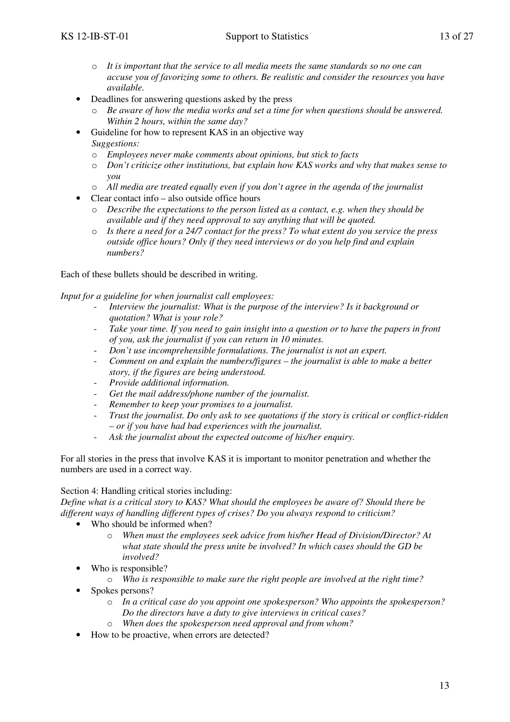- o *It is important that the service to all media meets the same standards so no one can accuse you of favorizing some to others. Be realistic and consider the resources you have available.*
- Deadlines for answering questions asked by the press
	- o *Be aware of how the media works and set a time for when questions should be answered. Within 2 hours, within the same day?*
- Guideline for how to represent KAS in an objective way *Suggestions:* 
	- o *Employees never make comments about opinions, but stick to facts*
	- o *Don't criticize other institutions, but explain how KAS works and why that makes sense to you*
	- o *All media are treated equally even if you don't agree in the agenda of the journalist*
- Clear contact info also outside office hours
	- o *Describe the expectations to the person listed as a contact, e.g. when they should be available and if they need approval to say anything that will be quoted.*
	- o *Is there a need for a 24/7 contact for the press? To what extent do you service the press outside office hours? Only if they need interviews or do you help find and explain numbers?*

Each of these bullets should be described in writing.

*Input for a guideline for when journalist call employees:* 

- Interview the *journalist:* What is the purpose of the interview? Is it background or *quotation? What is your role?*
- *Take your time. If you need to gain insight into a question or to have the papers in front of you, ask the journalist if you can return in 10 minutes.*
- *Don't use incomprehensible formulations. The journalist is not an expert.*
- *Comment on and explain the numbers/figures the journalist is able to make a better story, if the figures are being understood.*
- *Provide additional information.*
- Get the mail address/phone number of the journalist.
- *Remember to keep your promises to a journalist.*
- *Trust the journalist. Do only ask to see quotations if the story is critical or conflict-ridden – or if you have had bad experiences with the journalist.*
- Ask the journalist about the expected outcome of his/her enquiry.

For all stories in the press that involve KAS it is important to monitor penetration and whether the numbers are used in a correct way.

#### Section 4: Handling critical stories including:

*Define what is a critical story to KAS? What should the employees be aware of? Should there be different ways of handling different types of crises? Do you always respond to criticism?* 

- Who should be informed when?
	- o *When must the employees seek advice from his/her Head of Division/Director? At what state should the press unite be involved? In which cases should the GD be involved?*
	- Who is responsible?
		- o *Who is responsible to make sure the right people are involved at the right time?*
- Spokes persons?
	- o *In a critical case do you appoint one spokesperson? Who appoints the spokesperson? Do the directors have a duty to give interviews in critical cases?*
	- o *When does the spokesperson need approval and from whom?*
- How to be proactive, when errors are detected?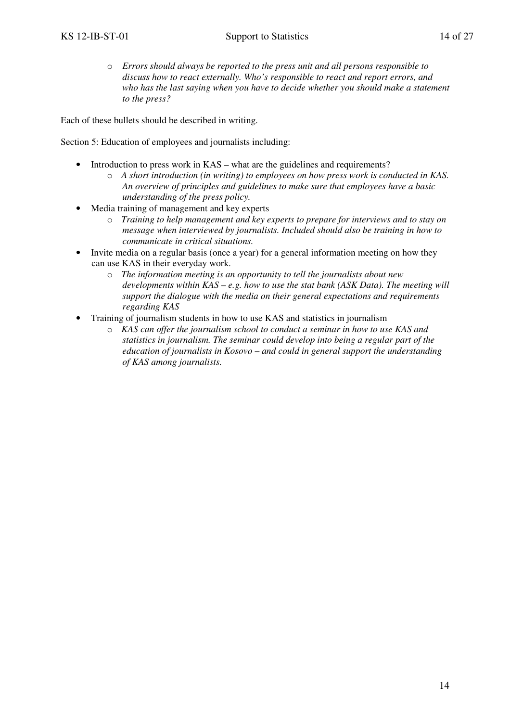o *Errors should always be reported to the press unit and all persons responsible to discuss how to react externally. Who's responsible to react and report errors, and who has the last saying when you have to decide whether you should make a statement to the press?* 

Each of these bullets should be described in writing.

Section 5: Education of employees and journalists including:

- Introduction to press work in KAS what are the guidelines and requirements?
	- o *A short introduction (in writing) to employees on how press work is conducted in KAS. An overview of principles and guidelines to make sure that employees have a basic understanding of the press policy.*
- Media training of management and key experts
	- o *Training to help management and key experts to prepare for interviews and to stay on message when interviewed by journalists. Included should also be training in how to communicate in critical situations.*
- Invite media on a regular basis (once a year) for a general information meeting on how they can use KAS in their everyday work.
	- o *The information meeting is an opportunity to tell the journalists about new developments within KAS – e.g. how to use the stat bank (ASK Data). The meeting will support the dialogue with the media on their general expectations and requirements regarding KAS*
- Training of journalism students in how to use KAS and statistics in journalism
	- o *KAS can offer the journalism school to conduct a seminar in how to use KAS and statistics in journalism. The seminar could develop into being a regular part of the education of journalists in Kosovo – and could in general support the understanding of KAS among journalists.*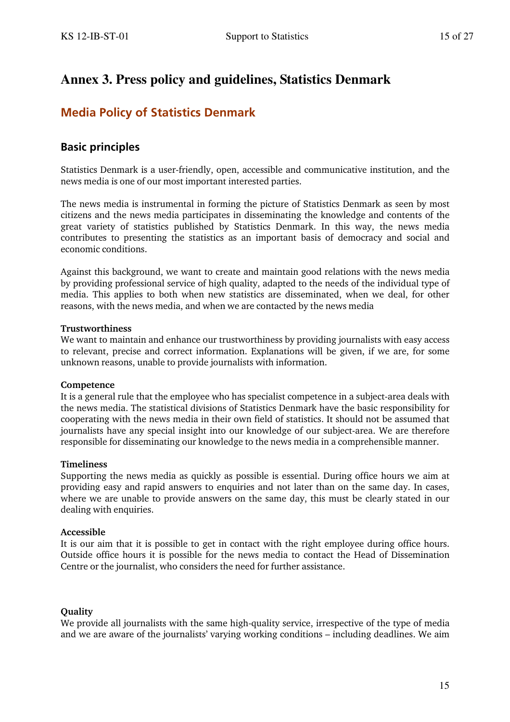## **Annex 3. Press policy and guidelines, Statistics Denmark**

## **Media Policy of Statistics Denmark**

### **Basic principles**

Statistics Denmark is a user-friendly, open, accessible and communicative institution, and the news media is one of our most important interested parties.

The news media is instrumental in forming the picture of Statistics Denmark as seen by most citizens and the news media participates in disseminating the knowledge and contents of the great variety of statistics published by Statistics Denmark. In this way, the news media contributes to presenting the statistics as an important basis of democracy and social and economic conditions.

Against this background, we want to create and maintain good relations with the news media by providing professional service of high quality, adapted to the needs of the individual type of media. This applies to both when new statistics are disseminated, when we deal, for other reasons, with the news media, and when we are contacted by the news media

#### **Trustworthiness**

We want to maintain and enhance our trustworthiness by providing journalists with easy access to relevant, precise and correct information. Explanations will be given, if we are, for some unknown reasons, unable to provide journalists with information.

#### **Competence**

It is a general rule that the employee who has specialist competence in a subject-area deals with the news media. The statistical divisions of Statistics Denmark have the basic responsibility for cooperating with the news media in their own field of statistics. It should not be assumed that journalists have any special insight into our knowledge of our subject-area. We are therefore responsible for disseminating our knowledge to the news media in a comprehensible manner.

#### **Timeliness**

Supporting the news media as quickly as possible is essential. During office hours we aim at providing easy and rapid answers to enquiries and not later than on the same day. In cases, where we are unable to provide answers on the same day, this must be clearly stated in our dealing with enquiries.

#### **Accessible**

It is our aim that it is possible to get in contact with the right employee during office hours. Outside office hours it is possible for the news media to contact the Head of Dissemination Centre or the journalist, who considers the need for further assistance.

#### **Quality**

We provide all journalists with the same high-quality service, irrespective of the type of media and we are aware of the journalists' varying working conditions – including deadlines. We aim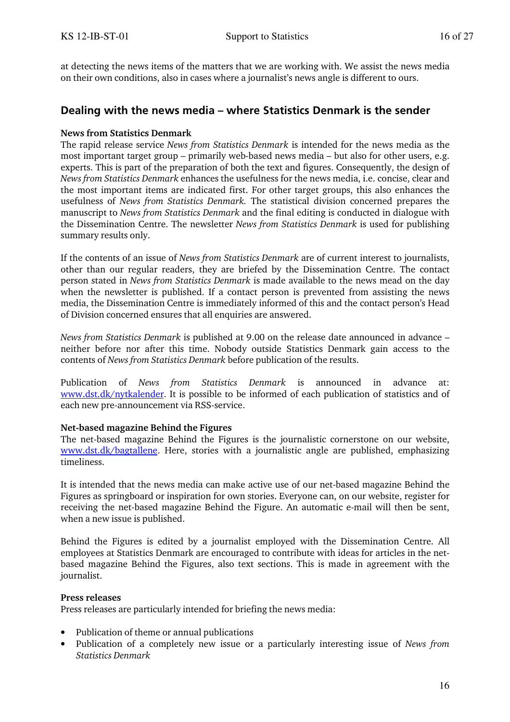at detecting the news items of the matters that we are working with. We assist the news media on their own conditions, also in cases where a journalist's news angle is different to ours.

### **Dealing with the news media – where Statistics Denmark is the sender**

#### **News from Statistics Denmark**

The rapid release service *News from Statistics Denmark* is intended for the news media as the most important target group – primarily web-based news media – but also for other users, e.g. experts. This is part of the preparation of both the text and figures. Consequently, the design of *News from Statistics Denmark* enhances the usefulness for the news media, i.e. concise, clear and the most important items are indicated first. For other target groups, this also enhances the usefulness of *News from Statistics Denmark.* The statistical division concerned prepares the manuscript to *News from Statistics Denmark* and the final editing is conducted in dialogue with the Dissemination Centre. The newsletter *News from Statistics Denmark* is used for publishing summary results only.

If the contents of an issue of *News from Statistics Denmark* are of current interest to journalists, other than our regular readers, they are briefed by the Dissemination Centre. The contact person stated in *News from Statistics Denmark* is made available to the news mead on the day when the newsletter is published. If a contact person is prevented from assisting the news media, the Dissemination Centre is immediately informed of this and the contact person's Head of Division concerned ensures that all enquiries are answered.

*News from Statistics Denmark* is published at 9.00 on the release date announced in advance – neither before nor after this time. Nobody outside Statistics Denmark gain access to the contents of *News from Statistics Denmark* before publication of the results.

Publication of *News from Statistics Denmark* is announced in advance at: www.dst.dk/nytkalender. It is possible to be informed of each publication of statistics and of each new pre-announcement via RSS-service.

#### **Net-based magazine Behind the Figures**

The net-based magazine Behind the Figures is the journalistic cornerstone on our website, www.dst.dk/bagtallene. Here, stories with a journalistic angle are published, emphasizing timeliness.

It is intended that the news media can make active use of our net-based magazine Behind the Figures as springboard or inspiration for own stories. Everyone can, on our website, register for receiving the net-based magazine Behind the Figure. An automatic e-mail will then be sent, when a new issue is published.

Behind the Figures is edited by a journalist employed with the Dissemination Centre. All employees at Statistics Denmark are encouraged to contribute with ideas for articles in the netbased magazine Behind the Figures, also text sections. This is made in agreement with the journalist.

#### **Press releases**

Press releases are particularly intended for briefing the news media:

- Publication of theme or annual publications
- Publication of a completely new issue or a particularly interesting issue of *News from Statistics Denmark*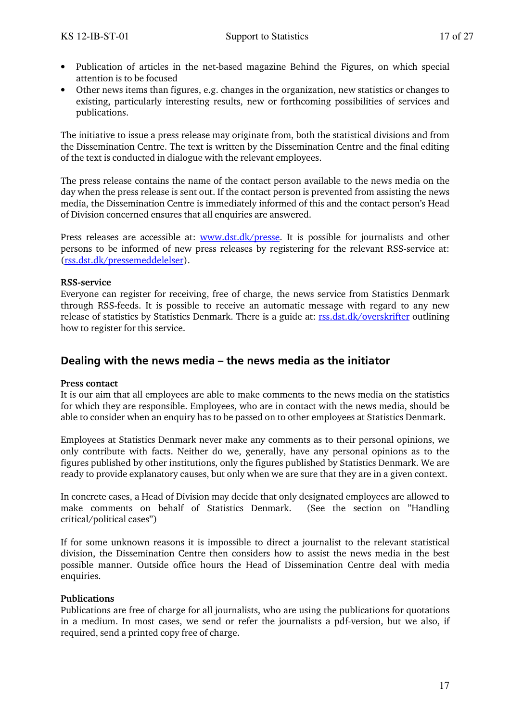- Publication of articles in the net-based magazine Behind the Figures, on which special attention is to be focused
- Other news items than figures, e.g. changes in the organization, new statistics or changes to existing, particularly interesting results, new or forthcoming possibilities of services and publications.

The initiative to issue a press release may originate from, both the statistical divisions and from the Dissemination Centre. The text is written by the Dissemination Centre and the final editing of the text is conducted in dialogue with the relevant employees.

The press release contains the name of the contact person available to the news media on the day when the press release is sent out. If the contact person is prevented from assisting the news media, the Dissemination Centre is immediately informed of this and the contact person's Head of Division concerned ensures that all enquiries are answered.

Press releases are accessible at: www.dst.dk/presse. It is possible for journalists and other persons to be informed of new press releases by registering for the relevant RSS-service at: (rss.dst.dk/pressemeddelelser).

#### **RSS-service**

Everyone can register for receiving, free of charge, the news service from Statistics Denmark through RSS-feeds. It is possible to receive an automatic message with regard to any new release of statistics by Statistics Denmark. There is a guide at: rss.dst.dk/overskrifter outlining how to register for this service.

### **Dealing with the news media – the news media as the initiator**

#### **Press contact**

It is our aim that all employees are able to make comments to the news media on the statistics for which they are responsible. Employees, who are in contact with the news media, should be able to consider when an enquiry has to be passed on to other employees at Statistics Denmark.

Employees at Statistics Denmark never make any comments as to their personal opinions, we only contribute with facts. Neither do we, generally, have any personal opinions as to the figures published by other institutions, only the figures published by Statistics Denmark. We are ready to provide explanatory causes, but only when we are sure that they are in a given context.

In concrete cases, a Head of Division may decide that only designated employees are allowed to make comments on behalf of Statistics Denmark. (See the section on "Handling critical/political cases")

If for some unknown reasons it is impossible to direct a journalist to the relevant statistical division, the Dissemination Centre then considers how to assist the news media in the best possible manner. Outside office hours the Head of Dissemination Centre deal with media enquiries.

#### **Publications**

Publications are free of charge for all journalists, who are using the publications for quotations in a medium. In most cases, we send or refer the journalists a pdf-version, but we also, if required, send a printed copy free of charge.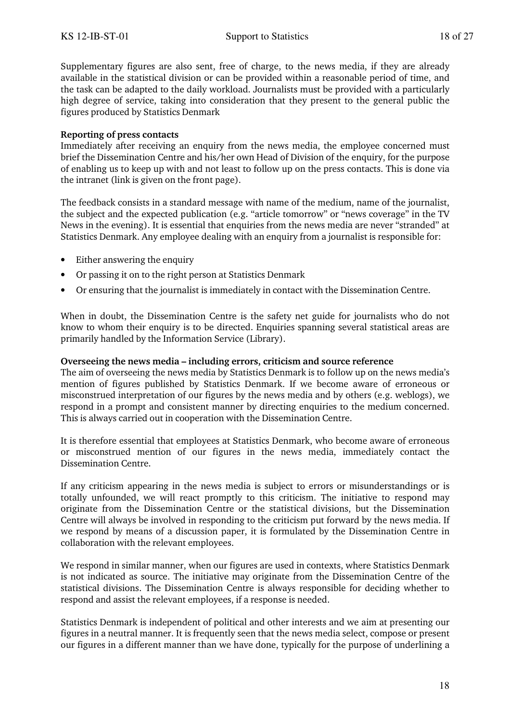Supplementary figures are also sent, free of charge, to the news media, if they are already available in the statistical division or can be provided within a reasonable period of time, and the task can be adapted to the daily workload. Journalists must be provided with a particularly high degree of service, taking into consideration that they present to the general public the figures produced by Statistics Denmark

#### **Reporting of press contacts**

Immediately after receiving an enquiry from the news media, the employee concerned must brief the Dissemination Centre and his/her own Head of Division of the enquiry, for the purpose of enabling us to keep up with and not least to follow up on the press contacts. This is done via the intranet (link is given on the front page).

The feedback consists in a standard message with name of the medium, name of the journalist, the subject and the expected publication (e.g. "article tomorrow" or "news coverage" in the TV News in the evening). It is essential that enquiries from the news media are never "stranded" at Statistics Denmark. Any employee dealing with an enquiry from a journalist is responsible for:

- Either answering the enquiry
- Or passing it on to the right person at Statistics Denmark
- Or ensuring that the journalist is immediately in contact with the Dissemination Centre.

When in doubt, the Dissemination Centre is the safety net guide for journalists who do not know to whom their enquiry is to be directed. Enquiries spanning several statistical areas are primarily handled by the Information Service (Library).

#### **Overseeing the news media – including errors, criticism and source reference**

The aim of overseeing the news media by Statistics Denmark is to follow up on the news media's mention of figures published by Statistics Denmark. If we become aware of erroneous or misconstrued interpretation of our figures by the news media and by others (e.g. weblogs), we respond in a prompt and consistent manner by directing enquiries to the medium concerned. This is always carried out in cooperation with the Dissemination Centre.

It is therefore essential that employees at Statistics Denmark, who become aware of erroneous or misconstrued mention of our figures in the news media, immediately contact the Dissemination Centre.

If any criticism appearing in the news media is subject to errors or misunderstandings or is totally unfounded, we will react promptly to this criticism. The initiative to respond may originate from the Dissemination Centre or the statistical divisions, but the Dissemination Centre will always be involved in responding to the criticism put forward by the news media. If we respond by means of a discussion paper, it is formulated by the Dissemination Centre in collaboration with the relevant employees.

We respond in similar manner, when our figures are used in contexts, where Statistics Denmark is not indicated as source. The initiative may originate from the Dissemination Centre of the statistical divisions. The Dissemination Centre is always responsible for deciding whether to respond and assist the relevant employees, if a response is needed.

Statistics Denmark is independent of political and other interests and we aim at presenting our figures in a neutral manner. It is frequently seen that the news media select, compose or present our figures in a different manner than we have done, typically for the purpose of underlining a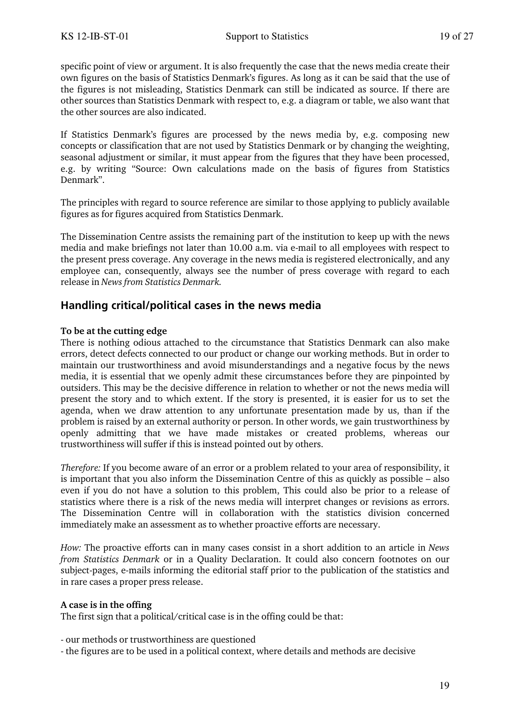specific point of view or argument. It is also frequently the case that the news media create their own figures on the basis of Statistics Denmark's figures. As long as it can be said that the use of the figures is not misleading, Statistics Denmark can still be indicated as source. If there are other sources than Statistics Denmark with respect to, e.g. a diagram or table, we also want that the other sources are also indicated.

If Statistics Denmark's figures are processed by the news media by, e.g. composing new concepts or classification that are not used by Statistics Denmark or by changing the weighting, seasonal adjustment or similar, it must appear from the figures that they have been processed, e.g. by writing "Source: Own calculations made on the basis of figures from Statistics Denmark".

The principles with regard to source reference are similar to those applying to publicly available figures as for figures acquired from Statistics Denmark.

The Dissemination Centre assists the remaining part of the institution to keep up with the news media and make briefings not later than 10.00 a.m. via e-mail to all employees with respect to the present press coverage. Any coverage in the news media is registered electronically, and any employee can, consequently, always see the number of press coverage with regard to each release in *News from Statistics Denmark.*

### **Handling critical/political cases in the news media**

#### **To be at the cutting edge**

There is nothing odious attached to the circumstance that Statistics Denmark can also make errors, detect defects connected to our product or change our working methods. But in order to maintain our trustworthiness and avoid misunderstandings and a negative focus by the news media, it is essential that we openly admit these circumstances before they are pinpointed by outsiders. This may be the decisive difference in relation to whether or not the news media will present the story and to which extent. If the story is presented, it is easier for us to set the agenda, when we draw attention to any unfortunate presentation made by us, than if the problem is raised by an external authority or person. In other words, we gain trustworthiness by openly admitting that we have made mistakes or created problems, whereas our trustworthiness will suffer if this is instead pointed out by others.

*Therefore:* If you become aware of an error or a problem related to your area of responsibility, it is important that you also inform the Dissemination Centre of this as quickly as possible – also even if you do not have a solution to this problem, This could also be prior to a release of statistics where there is a risk of the news media will interpret changes or revisions as errors. The Dissemination Centre will in collaboration with the statistics division concerned immediately make an assessment as to whether proactive efforts are necessary.

*How:* The proactive efforts can in many cases consist in a short addition to an article in *News from Statistics Denmark* or in a Quality Declaration. It could also concern footnotes on our subject-pages, e-mails informing the editorial staff prior to the publication of the statistics and in rare cases a proper press release.

#### **A case is in the offing**

The first sign that a political/critical case is in the offing could be that:

- our methods or trustworthiness are questioned
- the figures are to be used in a political context, where details and methods are decisive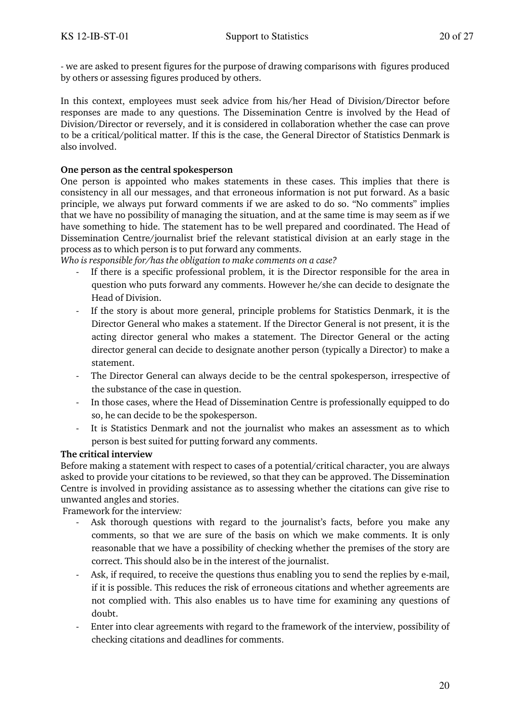- we are asked to present figures for the purpose of drawing comparisons with figures produced by others or assessing figures produced by others.

In this context, employees must seek advice from his/her Head of Division/Director before responses are made to any questions. The Dissemination Centre is involved by the Head of Division/Director or reversely, and it is considered in collaboration whether the case can prove to be a critical/political matter. If this is the case, the General Director of Statistics Denmark is also involved.

#### **One person as the central spokesperson**

One person is appointed who makes statements in these cases. This implies that there is consistency in all our messages, and that erroneous information is not put forward. As a basic principle, we always put forward comments if we are asked to do so. "No comments" implies that we have no possibility of managing the situation, and at the same time is may seem as if we have something to hide. The statement has to be well prepared and coordinated. The Head of Dissemination Centre/journalist brief the relevant statistical division at an early stage in the process as to which person is to put forward any comments.

*Who is responsible for/has the obligation to make comments on a case?* 

- If there is a specific professional problem, it is the Director responsible for the area in question who puts forward any comments. However he/she can decide to designate the Head of Division.
- If the story is about more general, principle problems for Statistics Denmark, it is the Director General who makes a statement. If the Director General is not present, it is the acting director general who makes a statement. The Director General or the acting director general can decide to designate another person (typically a Director) to make a statement.
- The Director General can always decide to be the central spokesperson, irrespective of the substance of the case in question.
- In those cases, where the Head of Dissemination Centre is professionally equipped to do so, he can decide to be the spokesperson.
- It is Statistics Denmark and not the journalist who makes an assessment as to which person is best suited for putting forward any comments.

#### **The critical interview**

Before making a statement with respect to cases of a potential/critical character, you are always asked to provide your citations to be reviewed, so that they can be approved. The Dissemination Centre is involved in providing assistance as to assessing whether the citations can give rise to unwanted angles and stories.

Framework for the interview*:* 

- Ask thorough questions with regard to the journalist's facts, before you make any comments, so that we are sure of the basis on which we make comments. It is only reasonable that we have a possibility of checking whether the premises of the story are correct. This should also be in the interest of the journalist.
- Ask, if required, to receive the questions thus enabling you to send the replies by e-mail, if it is possible. This reduces the risk of erroneous citations and whether agreements are not complied with. This also enables us to have time for examining any questions of doubt.
- Enter into clear agreements with regard to the framework of the interview, possibility of checking citations and deadlines for comments.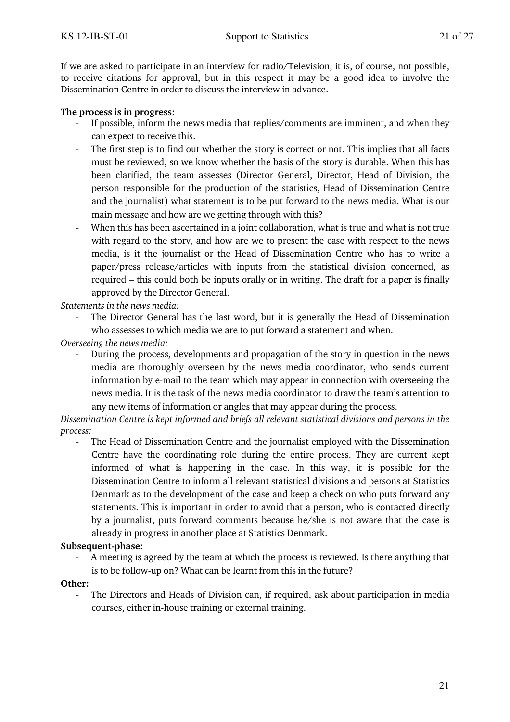If we are asked to participate in an interview for radio/Television, it is, of course, not possible, to receive citations for approval, but in this respect it may be a good idea to involve the Dissemination Centre in order to discuss the interview in advance.

#### **The process is in progress:**

- If possible, inform the news media that replies/comments are imminent, and when they can expect to receive this.
- The first step is to find out whether the story is correct or not. This implies that all facts must be reviewed, so we know whether the basis of the story is durable. When this has been clarified, the team assesses (Director General, Director, Head of Division, the person responsible for the production of the statistics, Head of Dissemination Centre and the journalist) what statement is to be put forward to the news media. What is our main message and how are we getting through with this?
- When this has been ascertained in a joint collaboration, what is true and what is not true with regard to the story, and how are we to present the case with respect to the news media, is it the journalist or the Head of Dissemination Centre who has to write a paper/press release/articles with inputs from the statistical division concerned, as required – this could both be inputs orally or in writing. The draft for a paper is finally approved by the Director General.

*Statements in the news media:* 

The Director General has the last word, but it is generally the Head of Dissemination who assesses to which media we are to put forward a statement and when.

*Overseeing the news media:* 

During the process, developments and propagation of the story in question in the news media are thoroughly overseen by the news media coordinator, who sends current information by e-mail to the team which may appear in connection with overseeing the news media. It is the task of the news media coordinator to draw the team's attention to any new items of information or angles that may appear during the process.

*Dissemination Centre is kept informed and briefs all relevant statistical divisions and persons in the process:* 

The Head of Dissemination Centre and the journalist employed with the Dissemination Centre have the coordinating role during the entire process. They are current kept informed of what is happening in the case. In this way, it is possible for the Dissemination Centre to inform all relevant statistical divisions and persons at Statistics Denmark as to the development of the case and keep a check on who puts forward any statements. This is important in order to avoid that a person, who is contacted directly by a journalist, puts forward comments because he/she is not aware that the case is already in progress in another place at Statistics Denmark.

#### **Subsequent-phase:**

A meeting is agreed by the team at which the process is reviewed. Is there anything that is to be follow-up on? What can be learnt from this in the future?

#### **Other:**

The Directors and Heads of Division can, if required, ask about participation in media courses, either in-house training or external training.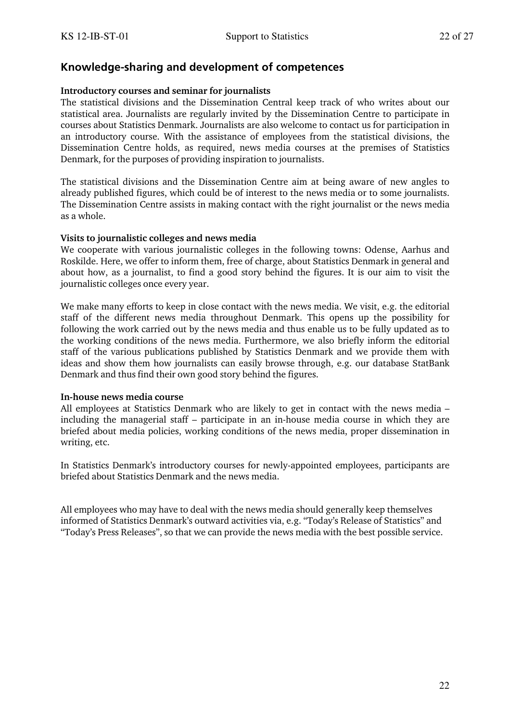### **Knowledge-sharing and development of competences**

#### **Introductory courses and seminar for journalists**

The statistical divisions and the Dissemination Central keep track of who writes about our statistical area. Journalists are regularly invited by the Dissemination Centre to participate in courses about Statistics Denmark. Journalists are also welcome to contact us for participation in an introductory course. With the assistance of employees from the statistical divisions, the Dissemination Centre holds, as required, news media courses at the premises of Statistics Denmark, for the purposes of providing inspiration to journalists.

The statistical divisions and the Dissemination Centre aim at being aware of new angles to already published figures, which could be of interest to the news media or to some journalists. The Dissemination Centre assists in making contact with the right journalist or the news media as a whole.

#### **Visits to journalistic colleges and news media**

We cooperate with various journalistic colleges in the following towns: Odense, Aarhus and Roskilde. Here, we offer to inform them, free of charge, about Statistics Denmark in general and about how, as a journalist, to find a good story behind the figures. It is our aim to visit the journalistic colleges once every year.

We make many efforts to keep in close contact with the news media. We visit, e.g. the editorial staff of the different news media throughout Denmark. This opens up the possibility for following the work carried out by the news media and thus enable us to be fully updated as to the working conditions of the news media. Furthermore, we also briefly inform the editorial staff of the various publications published by Statistics Denmark and we provide them with ideas and show them how journalists can easily browse through, e.g. our database StatBank Denmark and thus find their own good story behind the figures.

#### **In-house news media course**

All employees at Statistics Denmark who are likely to get in contact with the news media – including the managerial staff – participate in an in-house media course in which they are briefed about media policies, working conditions of the news media, proper dissemination in writing, etc.

In Statistics Denmark's introductory courses for newly-appointed employees, participants are briefed about Statistics Denmark and the news media.

All employees who may have to deal with the news media should generally keep themselves informed of Statistics Denmark's outward activities via, e.g. "Today's Release of Statistics" and "Today's Press Releases", so that we can provide the news media with the best possible service.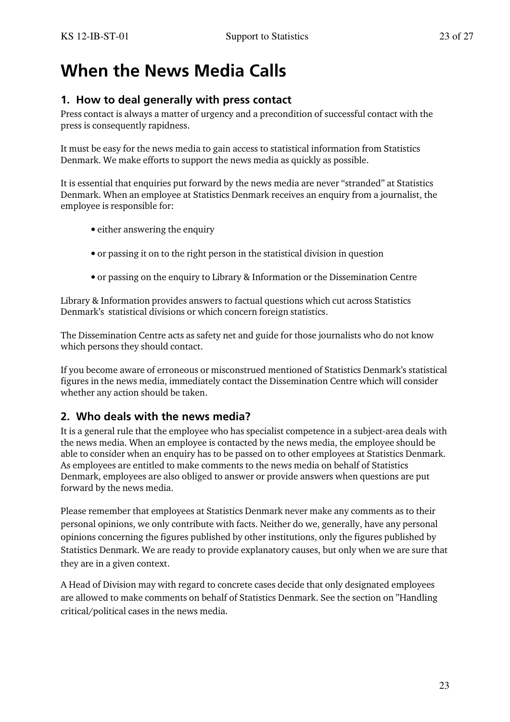# **When the News Media Calls**

## **1. How to deal generally with press contact**

Press contact is always a matter of urgency and a precondition of successful contact with the press is consequently rapidness.

It must be easy for the news media to gain access to statistical information from Statistics Denmark. We make efforts to support the news media as quickly as possible.

It is essential that enquiries put forward by the news media are never "stranded" at Statistics Denmark. When an employee at Statistics Denmark receives an enquiry from a journalist, the employee is responsible for:

- either answering the enquiry
- or passing it on to the right person in the statistical division in question
- or passing on the enquiry to Library & Information or the Dissemination Centre

Library & Information provides answers to factual questions which cut across Statistics Denmark's statistical divisions or which concern foreign statistics.

The Dissemination Centre acts as safety net and guide for those journalists who do not know which persons they should contact.

If you become aware of erroneous or misconstrued mentioned of Statistics Denmark's statistical figures in the news media, immediately contact the Dissemination Centre which will consider whether any action should be taken.

## **2. Who deals with the news media?**

It is a general rule that the employee who has specialist competence in a subject-area deals with the news media. When an employee is contacted by the news media, the employee should be able to consider when an enquiry has to be passed on to other employees at Statistics Denmark. As employees are entitled to make comments to the news media on behalf of Statistics Denmark, employees are also obliged to answer or provide answers when questions are put forward by the news media.

Please remember that employees at Statistics Denmark never make any comments as to their personal opinions, we only contribute with facts. Neither do we, generally, have any personal opinions concerning the figures published by other institutions, only the figures published by Statistics Denmark. We are ready to provide explanatory causes, but only when we are sure that they are in a given context.

A Head of Division may with regard to concrete cases decide that only designated employees are allowed to make comments on behalf of Statistics Denmark. See the section on "Handling critical/political cases in the news media.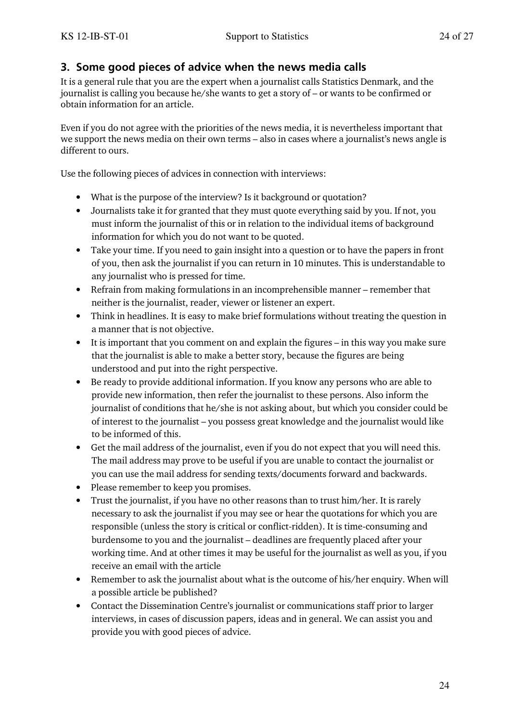## **3. Some good pieces of advice when the news media calls**

It is a general rule that you are the expert when a journalist calls Statistics Denmark, and the journalist is calling you because he/she wants to get a story of – or wants to be confirmed or obtain information for an article.

Even if you do not agree with the priorities of the news media, it is nevertheless important that we support the news media on their own terms – also in cases where a journalist's news angle is different to ours.

Use the following pieces of advices in connection with interviews:

- What is the purpose of the interview? Is it background or quotation?
- Journalists take it for granted that they must quote everything said by you. If not, you must inform the journalist of this or in relation to the individual items of background information for which you do not want to be quoted.
- Take your time. If you need to gain insight into a question or to have the papers in front of you, then ask the journalist if you can return in 10 minutes. This is understandable to any journalist who is pressed for time.
- Refrain from making formulations in an incomprehensible manner remember that neither is the journalist, reader, viewer or listener an expert.
- Think in headlines. It is easy to make brief formulations without treating the question in a manner that is not objective.
- It is important that you comment on and explain the figures in this way you make sure that the journalist is able to make a better story, because the figures are being understood and put into the right perspective.
- Be ready to provide additional information. If you know any persons who are able to provide new information, then refer the journalist to these persons. Also inform the journalist of conditions that he/she is not asking about, but which you consider could be of interest to the journalist – you possess great knowledge and the journalist would like to be informed of this.
- Get the mail address of the journalist, even if you do not expect that you will need this. The mail address may prove to be useful if you are unable to contact the journalist or you can use the mail address for sending texts/documents forward and backwards.
- Please remember to keep you promises.
- Trust the journalist, if you have no other reasons than to trust him/her. It is rarely necessary to ask the journalist if you may see or hear the quotations for which you are responsible (unless the story is critical or conflict-ridden). It is time-consuming and burdensome to you and the journalist – deadlines are frequently placed after your working time. And at other times it may be useful for the journalist as well as you, if you receive an email with the article
- Remember to ask the journalist about what is the outcome of his/her enquiry. When will a possible article be published?
- Contact the Dissemination Centre's journalist or communications staff prior to larger interviews, in cases of discussion papers, ideas and in general. We can assist you and provide you with good pieces of advice.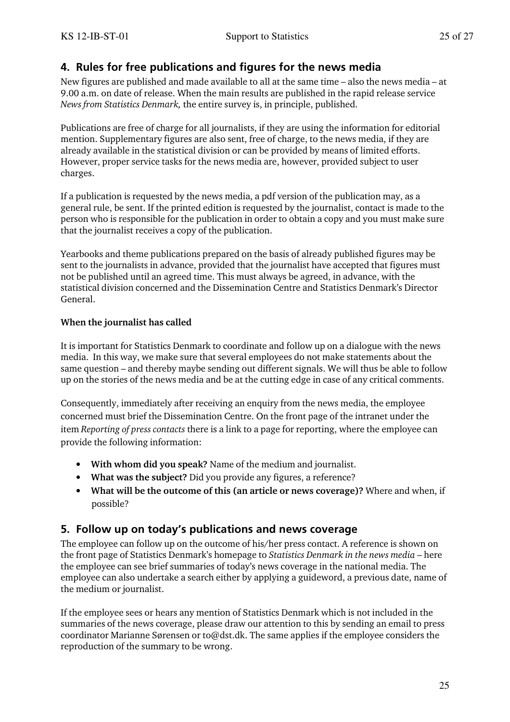## **4. Rules for free publications and figures for the news media**

New figures are published and made available to all at the same time – also the news media – at 9.00 a.m. on date of release. When the main results are published in the rapid release service *News from Statistics Denmark,* the entire survey is, in principle, published.

Publications are free of charge for all journalists, if they are using the information for editorial mention. Supplementary figures are also sent, free of charge, to the news media, if they are already available in the statistical division or can be provided by means of limited efforts. However, proper service tasks for the news media are, however, provided subject to user charges.

If a publication is requested by the news media, a pdf version of the publication may, as a general rule, be sent. If the printed edition is requested by the journalist, contact is made to the person who is responsible for the publication in order to obtain a copy and you must make sure that the journalist receives a copy of the publication.

Yearbooks and theme publications prepared on the basis of already published figures may be sent to the journalists in advance, provided that the journalist have accepted that figures must not be published until an agreed time. This must always be agreed, in advance, with the statistical division concerned and the Dissemination Centre and Statistics Denmark's Director General.

### **When the journalist has called**

It is important for Statistics Denmark to coordinate and follow up on a dialogue with the news media. In this way, we make sure that several employees do not make statements about the same question – and thereby maybe sending out different signals. We will thus be able to follow up on the stories of the news media and be at the cutting edge in case of any critical comments.

Consequently, immediately after receiving an enquiry from the news media, the employee concerned must brief the Dissemination Centre. On the front page of the intranet under the item *Reporting of press contacts* there is a link to a page for reporting, where the employee can provide the following information:

- **With whom did you speak?** Name of the medium and journalist.
- **What was the subject?** Did you provide any figures, a reference?
- **What will be the outcome of this (an article or news coverage)?** Where and when, if possible?

## **5. Follow up on today's publications and news coverage**

The employee can follow up on the outcome of his/her press contact. A reference is shown on the front page of Statistics Denmark's homepage to *Statistics Denmark in the news media* – here the employee can see brief summaries of today's news coverage in the national media. The employee can also undertake a search either by applying a guideword, a previous date, name of the medium or journalist.

If the employee sees or hears any mention of Statistics Denmark which is not included in the summaries of the news coverage, please draw our attention to this by sending an email to press coordinator Marianne Sørensen or to@dst.dk. The same applies if the employee considers the reproduction of the summary to be wrong.